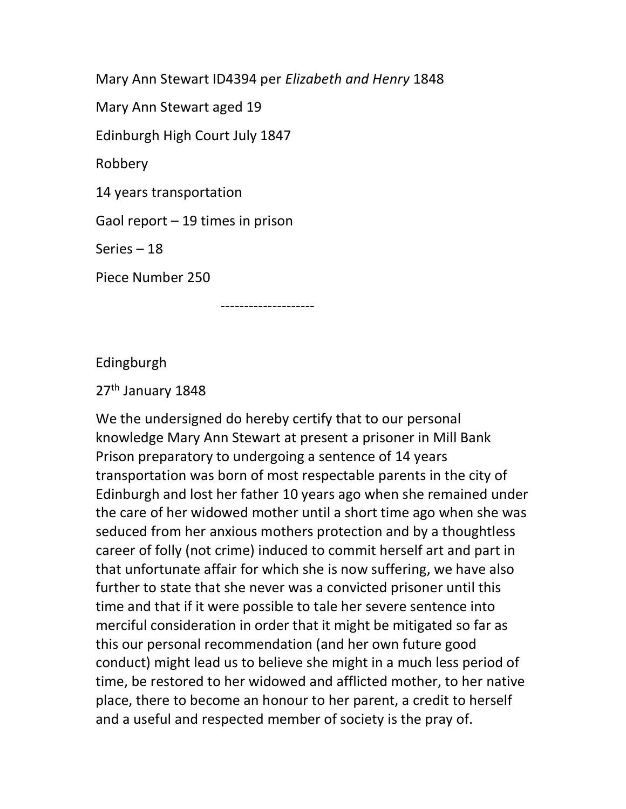Mary Ann Stewart ID4394 per Elizabeth and Henry 1848

Mary Ann Stewart aged 19

Edinburgh High Court July 1847

Robbery

14 years transportation

Gaol report – 19 times in prison

Series – 18

Piece Number 250

--------------------

Edingburgh

27<sup>th</sup> January 1848

We the undersigned do hereby certify that to our personal knowledge Mary Ann Stewart at present a prisoner in Mill Bank Prison preparatory to undergoing a sentence of 14 years transportation was born of most respectable parents in the city of Edinburgh and lost her father 10 years ago when she remained under the care of her widowed mother until a short time ago when she was seduced from her anxious mothers protection and by a thoughtless career of folly (not crime) induced to commit herself art and part in that unfortunate affair for which she is now suffering, we have also further to state that she never was a convicted prisoner until this time and that if it were possible to tale her severe sentence into merciful consideration in order that it might be mitigated so far as this our personal recommendation (and her own future good conduct) might lead us to believe she might in a much less period of time, be restored to her widowed and afflicted mother, to her native place, there to become an honour to her parent, a credit to herself and a useful and respected member of society is the pray of.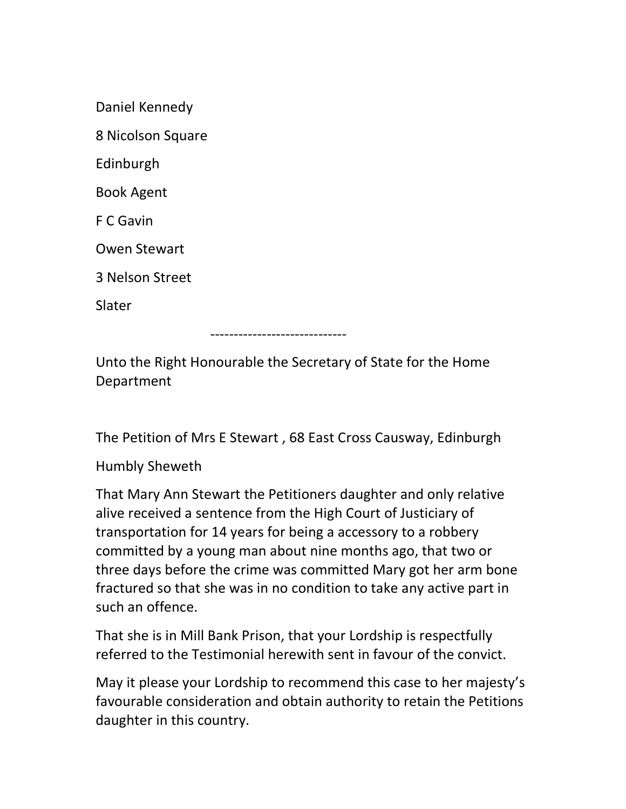| Daniel Kennedy |
|----------------|
|                |

8 Nicolson Square

Edinburgh

Book Agent

F C Gavin

Owen Stewart

3 Nelson Street

Slater

-----------------------------

Unto the Right Honourable the Secretary of State for the Home Department

The Petition of Mrs E Stewart , 68 East Cross Causway, Edinburgh

Humbly Sheweth

That Mary Ann Stewart the Petitioners daughter and only relative alive received a sentence from the High Court of Justiciary of transportation for 14 years for being a accessory to a robbery committed by a young man about nine months ago, that two or three days before the crime was committed Mary got her arm bone fractured so that she was in no condition to take any active part in such an offence.

That she is in Mill Bank Prison, that your Lordship is respectfully referred to the Testimonial herewith sent in favour of the convict.

May it please your Lordship to recommend this case to her majesty's favourable consideration and obtain authority to retain the Petitions daughter in this country.